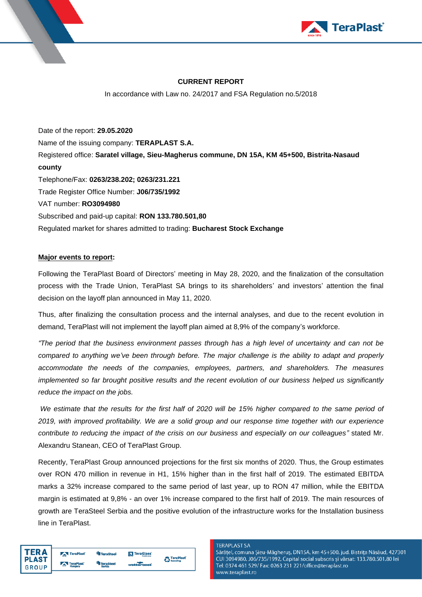

# **CURRENT REPORT**

In accordance with Law no. 24/2017 and FSA Regulation no.5/2018

Date of the report: **29.05.2020** Name of the issuing company: **TERAPLAST S.A.**  Registered office: **Saratel village, Sieu-Magherus commune, DN 15A, KM 45+500, Bistrita-Nasaud county** Telephone/Fax: **0263/238.202; 0263/231.221**  Trade Register Office Number: **J06/735/1992**  VAT number: **RO3094980**  Subscribed and paid-up capital: **RON 133.780.501,80**  Regulated market for shares admitted to trading: **Bucharest Stock Exchange**

## **Major events to report:**

Following the TeraPlast Board of Directors' meeting in May 28, 2020, and the finalization of the consultation process with the Trade Union, TeraPlast SA brings to its shareholders' and investors' attention the final decision on the layoff plan announced in May 11, 2020.

Thus, after finalizing the consultation process and the internal analyses, and due to the recent evolution in demand, TeraPlast will not implement the layoff plan aimed at 8,9% of the company's workforce.

*"The period that the business environment passes through has a high level of uncertainty and can not be compared to anything we've been through before. The major challenge is the ability to adapt and properly accommodate the needs of the companies, employees, partners, and shareholders. The measures implemented so far brought positive results and the recent evolution of our business helped us significantly reduce the impact on the jobs.*

*We estimate that the results for the first half of 2020 will be 15% higher compared to the same period of 2019, with improved profitability. We are a solid group and our response time together with our experience contribute to reducing the impact of the crisis on our business and especially on our colleagues"* stated Mr. Alexandru Stanean, CEO of TeraPlast Group.

Recently, TeraPlast Group announced projections for the first six months of 2020. Thus, the Group estimates over RON 470 million in revenue in H1, 15% higher than in the first half of 2019. The estimated EBITDA marks a 32% increase compared to the same period of last year, up to RON 47 million, while the EBITDA margin is estimated at 9,8% - an over 1% increase compared to the first half of 2019. The main resources of growth are TeraSteel Serbia and the positive evolution of the infrastructure works for the Installation business line in TeraPlast.

| <b>TERA</b>  | TeraPlast | <b>TeraSteel</b> | <b>N</b> TeraGlass |                                                 |
|--------------|-----------|------------------|--------------------|-------------------------------------------------|
| <b>PLAST</b> |           | <b>TeraSteel</b> |                    | <b>C</b> TeraPlast <sup>'</sup><br>Ca Recycling |
| <b>GROUP</b> | TeraPlast | Serbia           | wetterbeat         |                                                 |

#### **TERAPLAST SA**

Sărățel, comuna Șieu-Măgheruș, DN15A, km 45+500, jud. Bistrița Năsăud, 427301 CUI 3094980, J06/735/1992, Capital social subscris și vărsat: 133.780.501,80 lei Tel: 0374 461 529/ Fax: 0263 231 221/office@teraplast.ro www.teraplast.ro